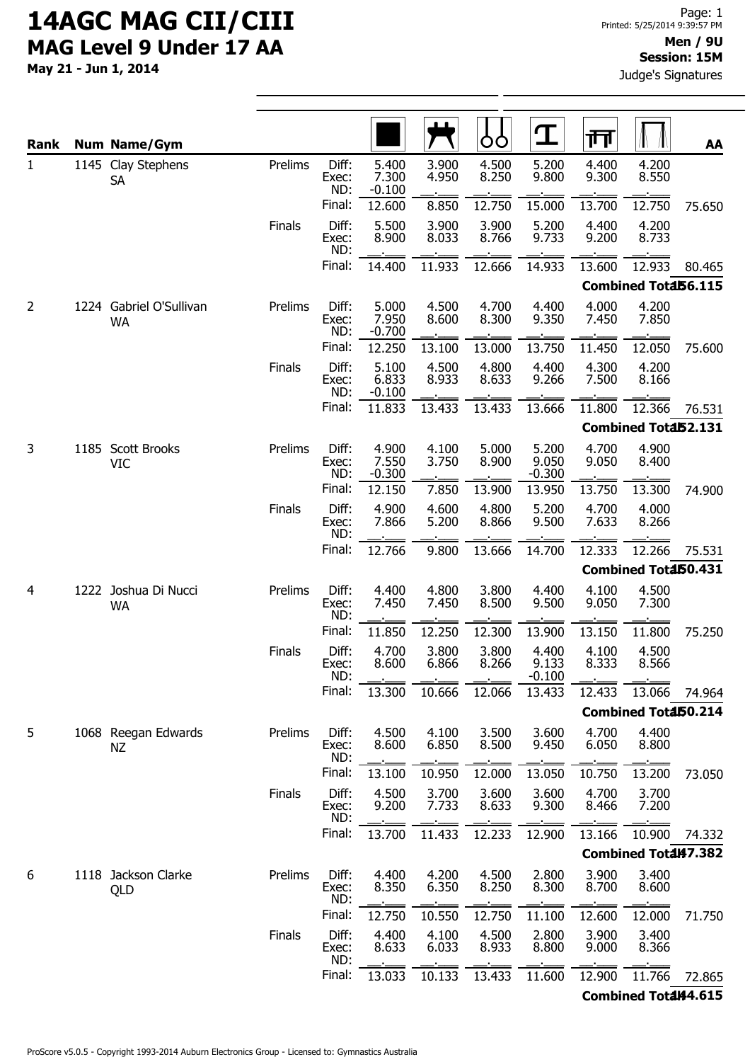May 21 - Jun 1, 2014

| Rank           |  | <b>Num Name/Gym</b>                  |               |                       |                            |                | OO             | $\bf{T}$                   | 帀              |                      | AA     |
|----------------|--|--------------------------------------|---------------|-----------------------|----------------------------|----------------|----------------|----------------------------|----------------|----------------------|--------|
| $\mathbf{1}$   |  | 1145 Clay Stephens<br><b>SA</b>      | Prelims       | Diff:<br>Exec:<br>ND: | 5.400<br>7.300<br>$-0.100$ | 3.900<br>4.950 | 4.500<br>8.250 | 5.200<br>9.800             | 4.400<br>9.300 | 4.200<br>8.550       |        |
|                |  |                                      |               | Final:                | 12.600                     | 8.850          | 12.750         | 15.000                     | 13.700         | 12.750               | 75.650 |
|                |  |                                      | Finals        | Diff:<br>Exec:<br>ND: | 5.500<br>8.900             | 3.900<br>8.033 | 3.900<br>8.766 | 5.200<br>9.733             | 4.400<br>9.200 | 4.200<br>8.733       |        |
|                |  |                                      |               | Final:                | 14.400                     | 11.933         | 12.666         | 14.933                     | 13.600         | 12.933               | 80.465 |
|                |  |                                      |               |                       |                            |                |                |                            |                | Combined Total56.115 |        |
| $\overline{2}$ |  | 1224 Gabriel O'Sullivan<br><b>WA</b> | Prelims       | Diff:<br>Exec:<br>ND: | 5.000<br>7.950<br>$-0.700$ | 4.500<br>8.600 | 4.700<br>8.300 | 4.400<br>9.350             | 4.000<br>7.450 | 4.200<br>7.850       |        |
|                |  |                                      |               | Final:                | 12.250                     | 13.100         | 13.000         | 13.750                     | 11.450         | 12.050               | 75.600 |
|                |  |                                      | <b>Finals</b> | Diff:<br>Exec:<br>ND: | 5.100<br>6.833<br>$-0.100$ | 4.500<br>8.933 | 4.800<br>8.633 | 4.400<br>9.266             | 4.300<br>7.500 | 4.200<br>8.166       |        |
|                |  |                                      |               | Final:                | 11.833                     | 13.433         | 13.433         | 13.666                     | 11.800         | 12.366               | 76.531 |
|                |  |                                      |               |                       |                            |                |                |                            |                | Combined Total52.131 |        |
| 3              |  | 1185 Scott Brooks<br>VIC             | Prelims       | Diff:<br>Exec:<br>ND: | 4.900<br>7.550<br>$-0.300$ | 4.100<br>3.750 | 5.000<br>8.900 | 5.200<br>9.050<br>$-0.300$ | 4.700<br>9.050 | 4.900<br>8.400       |        |
|                |  |                                      |               | Final:                | 12.150                     | 7.850          | 13.900         | 13.950                     | 13.750         | 13.300               | 74.900 |
|                |  |                                      | Finals        | Diff:<br>Exec:<br>ND: | 4.900<br>7.866             | 4.600<br>5.200 | 4.800<br>8.866 | 5.200<br>9.500             | 4.700<br>7.633 | 4.000<br>8.266       |        |
|                |  |                                      |               | Final:                | 12.766                     | 9.800          | 13.666         | 14.700                     | 12.333         | 12.266               | 75.531 |
|                |  |                                      |               |                       |                            |                |                |                            |                | Combined Total50.431 |        |
| 4              |  | 1222 Joshua Di Nucci<br><b>WA</b>    | Prelims       | Diff:<br>Exec:<br>ND: | 4.400<br>7.450             | 4.800<br>7.450 | 3.800<br>8.500 | 4.400<br>9.500             | 4.100<br>9.050 | 4.500<br>7.300       |        |
|                |  |                                      |               | Final:                | 11.850                     | 12.250         | 12.300         | 13.900                     | 13.150         | 11.800               | 75.250 |
|                |  |                                      | <b>Finals</b> | Diff:<br>Exec:<br>ND: | 4.700<br>8.600             | 3.800<br>6.866 | 3.800<br>8.266 | 4.400<br>9.133<br>$-0.100$ | 4.100<br>8.333 | 4.500<br>8.566       |        |
|                |  |                                      |               | Final:                | 13.300                     | 10.666         | 12.066         | 13.433                     | 12.433         | 13.066               | 74.964 |
|                |  |                                      |               |                       |                            |                |                |                            |                | Combined Total50.214 |        |
| 5              |  | 1068 Reegan Edwards<br><b>NZ</b>     | Prelims       | Diff:<br>Exec:<br>ND: | 4.500<br>8.600             | 4.100<br>6.850 | 3.500<br>8.500 | 3.600<br>9.450             | 4.700<br>6.050 | 4.400<br>8.800       |        |
|                |  |                                      |               | Final:                | 13.100                     | 10.950         | 12.000         | 13.050                     | 10.750         | 13.200               | 73.050 |
|                |  |                                      | <b>Finals</b> | Diff:<br>Exec:<br>ND: | 4.500<br>9.200             | 3.700<br>7.733 | 3.600<br>8.633 | 3.600<br>9.300             | 4.700<br>8.466 | 3.700<br>7.200       |        |
|                |  |                                      |               | Final:                | 13.700                     | 11.433         | 12.233         | 12.900                     | 13.166         | 10.900               | 74.332 |
|                |  |                                      |               |                       |                            |                |                |                            |                | Combined Total47.382 |        |
| 6              |  | 1118 Jackson Clarke<br>QLD           | Prelims       | Diff:<br>Exec:<br>ND: | 4.400<br>8.350             | 4.200<br>6.350 | 4.500<br>8.250 | 2.800<br>8.300             | 3.900<br>8.700 | 3.400<br>8.600       |        |
|                |  |                                      |               | Final:                | 12.750                     | 10.550         | 12.750         | 11.100                     | 12.600         | 12.000               | 71.750 |
|                |  |                                      | <b>Finals</b> | Diff:<br>Exec:<br>ND: | 4.400<br>8.633             | 4.100<br>6.033 | 4.500<br>8.933 | 2.800<br>8.800             | 3.900<br>9.000 | 3.400<br>8.366       |        |
|                |  |                                      |               | Final:                | 13.033                     | 10.133         | 13.433         | 11.600                     | 12.900         | 11.766               | 72.865 |

Combined Total44.615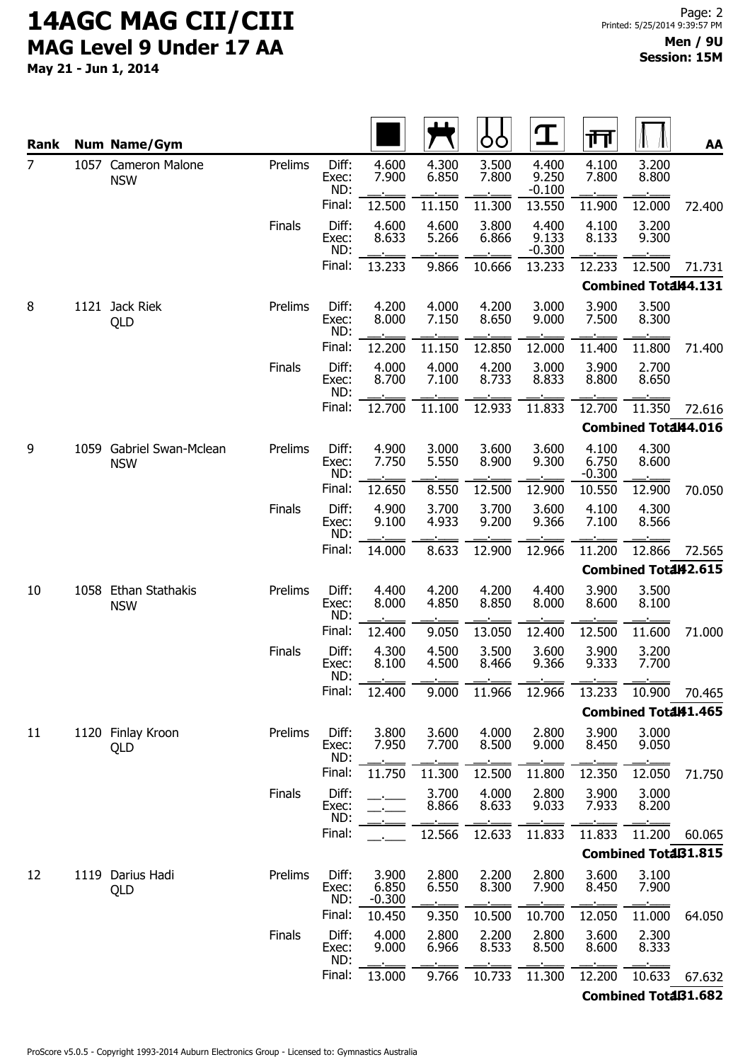May 21 - Jun 1, 2014

| Rank           | <b>Num Name/Gym</b>                    |               |                       |                            |                | OO             | $\mathbf T$                | 帀                          |                            | AA     |
|----------------|----------------------------------------|---------------|-----------------------|----------------------------|----------------|----------------|----------------------------|----------------------------|----------------------------|--------|
| $\overline{7}$ | 1057 Cameron Malone<br><b>NSW</b>      | Prelims       | Diff:<br>Exec:<br>ND: | 4.600<br>7.900             | 4.300<br>6.850 | 3.500<br>7.800 | 4.400<br>9.250<br>$-0.100$ | 4.100<br>7.800             | 3.200<br>8.800             |        |
|                |                                        |               | Final:                | 12.500                     | 11.150         | 11.300         | 13.550                     | 11.900                     | 12.000                     | 72.400 |
|                |                                        | Finals        | Diff:<br>Exec:<br>ND: | 4.600<br>8.633             | 4.600<br>5.266 | 3.800<br>6.866 | 4.400<br>9.133<br>$-0.300$ | 4.100<br>8.133             | 3.200<br>9.300             |        |
|                |                                        |               | Final:                | 13.233                     | 9.866          | 10.666         | 13.233                     | 12.233                     | 12.500                     | 71.731 |
|                |                                        |               |                       |                            |                |                |                            |                            | Combined Total44.131       |        |
| 8              | 1121 Jack Riek<br>QLD                  | Prelims       | Diff:<br>Exec:<br>ND: | 4.200<br>8.000             | 4.000<br>7.150 | 4.200<br>8.650 | 3.000<br>9.000             | 3.900<br>7.500             | 3.500<br>8.300             |        |
|                |                                        |               | Final:                | 12.200                     | 11.150         | 12.850         | 12.000                     | 11.400                     | 11.800                     | 71.400 |
|                |                                        | <b>Finals</b> | Diff:<br>Exec:<br>ND: | 4.000<br>8.700             | 4.000<br>7.100 | 4.200<br>8.733 | 3.000<br>8.833             | 3.900<br>8.800             | 2.700<br>8.650             |        |
|                |                                        |               | Final:                | 12.700                     | 11.100         | 12.933         | 11.833                     | 12.700                     | 11.350                     | 72.616 |
|                |                                        |               |                       |                            |                |                |                            |                            | Combined Total44.016       |        |
| 9              | 1059 Gabriel Swan-Mclean<br><b>NSW</b> | Prelims       | Diff:<br>Exec:<br>ND: | 4.900<br>7.750             | 3.000<br>5.550 | 3.600<br>8.900 | 3.600<br>9.300             | 4.100<br>6.750<br>$-0.300$ | 4.300<br>8.600             |        |
|                |                                        |               | Final:                | 12.650                     | 8.550          | 12.500         | 12.900                     | 10.550                     | 12.900                     | 70.050 |
|                |                                        | Finals        | Diff:<br>Exec:<br>ND: | 4.900<br>9.100             | 3.700<br>4.933 | 3.700<br>9.200 | 3.600<br>9.366             | 4.100<br>7.100             | 4.300<br>8.566             |        |
|                |                                        |               | Final:                | 14.000                     | 8.633          | 12.900         | 12.966                     | 11.200                     | 12.866                     | 72.565 |
|                |                                        |               |                       |                            |                |                |                            |                            | Combined Total42.615       |        |
| 10             | 1058 Ethan Stathakis<br><b>NSW</b>     | Prelims       | Diff:<br>Exec:<br>ND: | 4.400<br>8.000             | 4.200<br>4.850 | 4.200<br>8.850 | 4.400<br>8.000             | 3.900<br>8.600             | 3.500<br>8.100             |        |
|                |                                        |               | Final:                | 12.400                     | 9.050          | 13.050         | 12.400                     | 12.500                     | 11.600                     | 71.000 |
|                |                                        | <b>Finals</b> | Diff:<br>Exec:<br>ND: | 4.300<br>8.100             | 4.500<br>4.500 | 3.500<br>8.466 | 3.600<br>9.366             | 3.900<br>9.333             | 3.200<br>7.700             |        |
|                |                                        |               | Final:                | 12.400                     | 9.000          | 11.966         | 12.966                     | 13.233                     | 10.900                     | 70.465 |
|                |                                        |               |                       |                            |                |                |                            |                            | Combined Total41.465       |        |
| 11             | 1120 Finlay Kroon<br>QLD               | Prelims       | Diff:<br>Exec:<br>ND: | 3.800<br>7.950             | 3.600<br>7.700 | 4.000<br>8.500 | 2.800<br>9.000             | 3.900<br>8.450             | 3.000<br>9.050             |        |
|                |                                        |               | Final:                | 11.750                     | 11.300         | 12.500         | 11.800                     | 12.350                     | 12.050                     | 71.750 |
|                |                                        | <b>Finals</b> | Diff:<br>Exec:<br>ND: |                            | 3.700<br>8.866 | 4.000<br>8.633 | 2.800<br>9.033             | 3.900<br>7.933             | 3.000<br>8.200             |        |
|                |                                        |               | Final:                |                            | 12.566         | 12.633         | 11.833                     | 11.833                     | 11.200                     | 60.065 |
|                |                                        |               |                       |                            |                |                |                            |                            | <b>Combined TotaB1.815</b> |        |
| 12             | 1119 Darius Hadi<br>QLD                | Prelims       | Diff:<br>Exec:<br>ND: | 3.900<br>6.850<br>$-0.300$ | 2.800<br>6.550 | 2.200<br>8.300 | 2.800<br>7.900             | 3.600<br>8.450             | 3.100<br>7.900             |        |
|                |                                        |               | Final:                | 10.450                     | 9.350          | 10.500         | 10.700                     | 12.050                     | 11.000                     | 64.050 |
|                |                                        | <b>Finals</b> | Diff:<br>Exec:<br>ND: | 4.000<br>9.000             | 2.800<br>6.966 | 2.200<br>8.533 | 2.800<br>8.500             | 3.600<br>8.600             | 2.300<br>8.333             |        |
|                |                                        |               | Final:                | 13.000                     | 9.766          | 10.733         | 11.300                     | 12.200                     | 10.633                     | 67.632 |
|                |                                        |               |                       |                            |                |                |                            |                            | <b>Combined TotaB1.682</b> |        |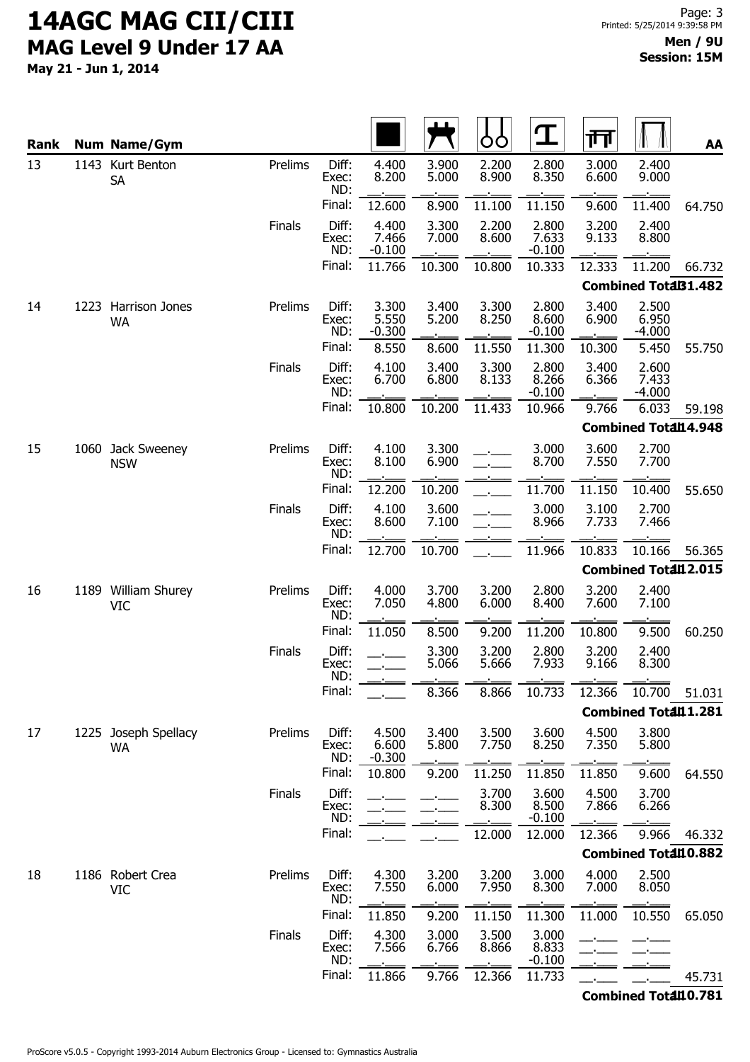May 21 - Jun 1, 2014

| <b>Rank</b> | <b>Num Name/Gym</b>               |               |                       |                            |                | O              | $\mathbf T$                | गा             |                             | AA     |
|-------------|-----------------------------------|---------------|-----------------------|----------------------------|----------------|----------------|----------------------------|----------------|-----------------------------|--------|
| 13          | 1143 Kurt Benton<br><b>SA</b>     | Prelims       | Diff:<br>Exec:<br>ND: | 4.400<br>8.200             | 3.900<br>5.000 | 2.200<br>8.900 | 2.800<br>8.350             | 3.000<br>6.600 | 2.400<br>9.000              |        |
|             |                                   |               | Final:                | 12.600                     | 8.900          | 11.100         | 11.150                     | 9.600          | 11.400                      | 64.750 |
|             |                                   | Finals        | Diff:<br>Exec:<br>ND: | 4.400<br>7.466<br>$-0.100$ | 3.300<br>7.000 | 2.200<br>8.600 | 2.800<br>7.633<br>$-0.100$ | 3.200<br>9.133 | 2.400<br>8.800              |        |
|             |                                   |               | Final:                | 11.766                     | 10.300         | 10.800         | 10.333                     | 12.333         | 11.200                      | 66.732 |
|             |                                   |               |                       |                            |                |                |                            |                | <b>Combined TotaB1.482</b>  |        |
| 14          | 1223 Harrison Jones<br><b>WA</b>  | Prelims       | Diff:<br>Exec:<br>ND: | 3.300<br>5.550<br>$-0.300$ | 3.400<br>5.200 | 3.300<br>8.250 | 2.800<br>8.600<br>$-0.100$ | 3.400<br>6.900 | 2.500<br>6.950<br>$-4.000$  |        |
|             |                                   |               | Final:                | 8.550                      | 8.600          | 11.550         | 11.300                     | 10.300         | 5.450                       | 55.750 |
|             |                                   | Finals        | Diff:<br>Exec:<br>ND: | 4.100<br>6.700             | 3.400<br>6.800 | 3.300<br>8.133 | 2.800<br>8.266<br>$-0.100$ | 3.400<br>6.366 | 2.600<br>7.433<br>$-4.000$  |        |
|             |                                   |               | Final:                | 10.800                     | 10.200         | 11.433         | 10.966                     | 9.766          | 6.033                       | 59.198 |
|             |                                   |               |                       |                            |                |                |                            |                | <b>Combined Total14.948</b> |        |
| 15          | 1060 Jack Sweeney<br><b>NSW</b>   | Prelims       | Diff:<br>Exec:<br>ND: | 4.100<br>8.100             | 3.300<br>6.900 |                | 3.000<br>8.700             | 3.600<br>7.550 | 2.700<br>7.700              |        |
|             |                                   |               | Final:                | 12.200                     | 10.200         |                | 11.700                     | 11.150         | 10.400                      | 55.650 |
|             |                                   | Finals        | Diff:<br>Exec:<br>ND: | 4.100<br>8.600             | 3.600<br>7.100 |                | 3.000<br>8.966             | 3.100<br>7.733 | 2.700<br>7.466              |        |
|             |                                   |               | Final:                | 12.700                     | 10.700         |                | 11.966                     | 10.833         | 10.166                      | 56.365 |
|             |                                   |               |                       |                            |                |                |                            |                | Combined Total12.015        |        |
| 16          | 1189 William Shurey<br><b>VIC</b> | Prelims       | Diff:<br>Exec:<br>ND: | 4.000<br>7.050             | 3.700<br>4.800 | 3.200<br>6.000 | 2.800<br>8.400             | 3.200<br>7.600 | 2.400<br>7.100              |        |
|             |                                   |               | Final:                | 11.050                     | 8.500          | 9.200          | 11.200                     | 10.800         | 9.500                       | 60.250 |
|             |                                   | Finals        | Diff:<br>Exec:<br>ND: |                            | 3.300<br>5.066 | 3.200<br>5.666 | 2.800<br>7.933             | 3.200<br>9.166 | 2.400<br>8.300              |        |
|             |                                   |               | Final:                |                            | 8.366          | 8.866          | 10.733                     | 12.366         | 10.700                      | 51.031 |
|             |                                   |               |                       |                            |                |                |                            |                | Combined Total11.281        |        |
| 17          | 1225 Joseph Spellacy<br><b>WA</b> | Prelims       | Diff:<br>Exec:<br>ND: | 4.500<br>6.600<br>$-0.300$ | 3.400<br>5.800 | 3.500<br>7.750 | 3.600<br>8.250             | 4.500<br>7.350 | 3.800<br>5.800              |        |
|             |                                   |               | Final:                | 10.800                     | 9.200          | 11.250         | 11.850                     | 11.850         | 9.600                       | 64.550 |
|             |                                   | Finals        | Diff:<br>Exec:<br>ND: |                            |                | 3.700<br>8.300 | 3.600<br>8.500<br>$-0.100$ | 4.500<br>7.866 | 3.700<br>6.266              |        |
|             |                                   |               | Final:                |                            |                | 12.000         | 12.000                     | 12.366         | 9.966                       | 46.332 |
|             |                                   |               |                       |                            |                |                |                            |                | <b>Combined Total10.882</b> |        |
| 18          | 1186 Robert Crea<br><b>VIC</b>    | Prelims       | Diff:<br>Exec:<br>ND: | 4.300<br>7.550             | 3.200<br>6.000 | 3.200<br>7.950 | 3.000<br>8.300             | 4.000<br>7.000 | 2.500<br>8.050              |        |
|             |                                   |               | Final:                | 11.850                     | 9.200          | 11.150         | 11.300                     | 11.000         | 10.550                      | 65.050 |
|             |                                   | <b>Finals</b> | Diff:<br>Exec:<br>ND: | 4.300<br>7.566             | 3.000<br>6.766 | 3.500<br>8.866 | 3.000<br>8.833<br>$-0.100$ |                |                             |        |
|             |                                   |               | Final:                | 11.866                     | 9.766          | 12.366         | 11.733                     |                |                             | 45.731 |

Combined Total10.781